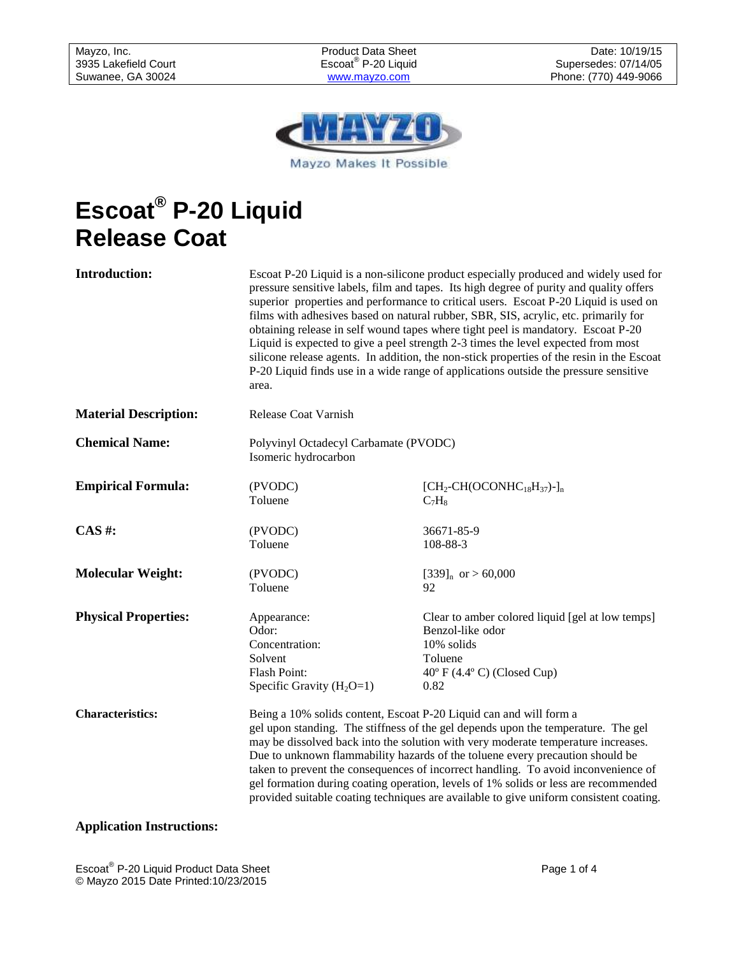Mayzo, Inc. Product Data Sheet Date: 10/19/15 Supersedes: 07/14/05 [www.mayzo.com](http://www.mayzo.com/) Phone: (770) 449-9066



## **Escoat® P-20 Liquid Release Coat**

| <b>Introduction:</b>         | Escoat P-20 Liquid is a non-silicone product especially produced and widely used for<br>pressure sensitive labels, film and tapes. Its high degree of purity and quality offers<br>superior properties and performance to critical users. Escoat P-20 Liquid is used on<br>films with adhesives based on natural rubber, SBR, SIS, acrylic, etc. primarily for<br>obtaining release in self wound tapes where tight peel is mandatory. Escoat P-20<br>Liquid is expected to give a peel strength 2-3 times the level expected from most<br>silicone release agents. In addition, the non-stick properties of the resin in the Escoat<br>P-20 Liquid finds use in a wide range of applications outside the pressure sensitive<br>area. |                                                                                                                                      |  |  |
|------------------------------|---------------------------------------------------------------------------------------------------------------------------------------------------------------------------------------------------------------------------------------------------------------------------------------------------------------------------------------------------------------------------------------------------------------------------------------------------------------------------------------------------------------------------------------------------------------------------------------------------------------------------------------------------------------------------------------------------------------------------------------|--------------------------------------------------------------------------------------------------------------------------------------|--|--|
| <b>Material Description:</b> | Release Coat Varnish                                                                                                                                                                                                                                                                                                                                                                                                                                                                                                                                                                                                                                                                                                                  |                                                                                                                                      |  |  |
| <b>Chemical Name:</b>        | Polyvinyl Octadecyl Carbamate (PVODC)<br>Isomeric hydrocarbon                                                                                                                                                                                                                                                                                                                                                                                                                                                                                                                                                                                                                                                                         |                                                                                                                                      |  |  |
| <b>Empirical Formula:</b>    | (PVODC)<br>Toluene                                                                                                                                                                                                                                                                                                                                                                                                                                                                                                                                                                                                                                                                                                                    | $[CH2-CH(OCONHC18H37)-]n$<br>$C_7H_8$                                                                                                |  |  |
| $CAS$ #:                     | (PVODC)<br>Toluene                                                                                                                                                                                                                                                                                                                                                                                                                                                                                                                                                                                                                                                                                                                    | 36671-85-9<br>108-88-3                                                                                                               |  |  |
| <b>Molecular Weight:</b>     | (PVODC)<br>Toluene                                                                                                                                                                                                                                                                                                                                                                                                                                                                                                                                                                                                                                                                                                                    | $[339]_n$ or > 60,000<br>92                                                                                                          |  |  |
| <b>Physical Properties:</b>  | Appearance:<br>Odor:<br>Concentration:<br>Solvent<br><b>Flash Point:</b><br>Specific Gravity $(H_2O=1)$                                                                                                                                                                                                                                                                                                                                                                                                                                                                                                                                                                                                                               | Clear to amber colored liquid [gel at low temps]<br>Benzol-like odor<br>10% solids<br>Toluene<br>40° F (4.4° C) (Closed Cup)<br>0.82 |  |  |
| <b>Characteristics:</b>      | Being a 10% solids content, Escoat P-20 Liquid can and will form a<br>gel upon standing. The stiffness of the gel depends upon the temperature. The gel<br>may be dissolved back into the solution with very moderate temperature increases.<br>Due to unknown flammability hazards of the toluene every precaution should be<br>taken to prevent the consequences of incorrect handling. To avoid inconvenience of<br>gel formation during coating operation, levels of 1% solids or less are recommended<br>provided suitable coating techniques are available to give uniform consistent coating.                                                                                                                                  |                                                                                                                                      |  |  |

## **Application Instructions:**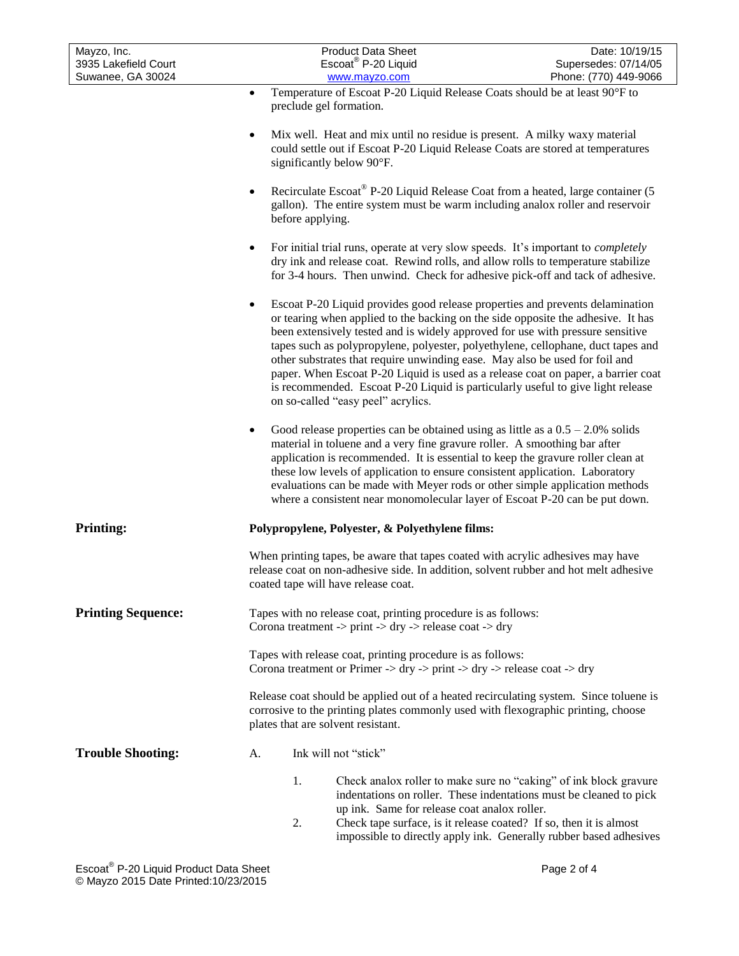| Mayzo, Inc.<br>3935 Lakefield Court<br>Suwanee, GA 30024 | <b>Product Data Sheet</b><br>Escoat <sup>®</sup> P-20 Liquid<br>www.mayzo.com                                                                                                                                                                                                                                                                                                                                                                                                                                                                                                                                                             | Date: 10/19/15<br>Supersedes: 07/14/05<br>Phone: (770) 449-9066                                                                                                                                                                                               |  |  |  |
|----------------------------------------------------------|-------------------------------------------------------------------------------------------------------------------------------------------------------------------------------------------------------------------------------------------------------------------------------------------------------------------------------------------------------------------------------------------------------------------------------------------------------------------------------------------------------------------------------------------------------------------------------------------------------------------------------------------|---------------------------------------------------------------------------------------------------------------------------------------------------------------------------------------------------------------------------------------------------------------|--|--|--|
|                                                          | preclude gel formation.                                                                                                                                                                                                                                                                                                                                                                                                                                                                                                                                                                                                                   | Temperature of Escoat P-20 Liquid Release Coats should be at least 90°F to                                                                                                                                                                                    |  |  |  |
|                                                          | Mix well. Heat and mix until no residue is present. A milky waxy material<br>could settle out if Escoat P-20 Liquid Release Coats are stored at temperatures<br>significantly below 90°F.                                                                                                                                                                                                                                                                                                                                                                                                                                                 |                                                                                                                                                                                                                                                               |  |  |  |
|                                                          | Recirculate Escoat® P-20 Liquid Release Coat from a heated, large container (5<br>gallon). The entire system must be warm including analox roller and reservoir<br>before applying.                                                                                                                                                                                                                                                                                                                                                                                                                                                       |                                                                                                                                                                                                                                                               |  |  |  |
|                                                          |                                                                                                                                                                                                                                                                                                                                                                                                                                                                                                                                                                                                                                           | For initial trial runs, operate at very slow speeds. It's important to <i>completely</i><br>dry ink and release coat. Rewind rolls, and allow rolls to temperature stabilize<br>for 3-4 hours. Then unwind. Check for adhesive pick-off and tack of adhesive. |  |  |  |
|                                                          | Escoat P-20 Liquid provides good release properties and prevents delamination<br>٠<br>or tearing when applied to the backing on the side opposite the adhesive. It has<br>been extensively tested and is widely approved for use with pressure sensitive<br>tapes such as polypropylene, polyester, polyethylene, cellophane, duct tapes and<br>other substrates that require unwinding ease. May also be used for foil and<br>paper. When Escoat P-20 Liquid is used as a release coat on paper, a barrier coat<br>is recommended. Escoat P-20 Liquid is particularly useful to give light release<br>on so-called "easy peel" acrylics. |                                                                                                                                                                                                                                                               |  |  |  |
|                                                          | Good release properties can be obtained using as little as a $0.5 - 2.0\%$ solids<br>material in toluene and a very fine gravure roller. A smoothing bar after<br>application is recommended. It is essential to keep the gravure roller clean at<br>these low levels of application to ensure consistent application. Laboratory<br>evaluations can be made with Meyer rods or other simple application methods<br>where a consistent near monomolecular layer of Escoat P-20 can be put down.                                                                                                                                           |                                                                                                                                                                                                                                                               |  |  |  |
| <b>Printing:</b>                                         | Polypropylene, Polyester, & Polyethylene films:<br>When printing tapes, be aware that tapes coated with acrylic adhesives may have<br>release coat on non-adhesive side. In addition, solvent rubber and hot melt adhesive<br>coated tape will have release coat.                                                                                                                                                                                                                                                                                                                                                                         |                                                                                                                                                                                                                                                               |  |  |  |
|                                                          |                                                                                                                                                                                                                                                                                                                                                                                                                                                                                                                                                                                                                                           |                                                                                                                                                                                                                                                               |  |  |  |
| <b>Printing Sequence:</b>                                | Tapes with no release coat, printing procedure is as follows:<br>Corona treatment -> print -> dry -> release coat -> dry                                                                                                                                                                                                                                                                                                                                                                                                                                                                                                                  |                                                                                                                                                                                                                                                               |  |  |  |
|                                                          | Tapes with release coat, printing procedure is as follows:<br>Corona treatment or Primer $\rightarrow$ dry $\rightarrow$ print $\rightarrow$ dry $\rightarrow$ release coat $\rightarrow$ dry                                                                                                                                                                                                                                                                                                                                                                                                                                             |                                                                                                                                                                                                                                                               |  |  |  |
|                                                          | Release coat should be applied out of a heated recirculating system. Since toluene is<br>corrosive to the printing plates commonly used with flexographic printing, choose<br>plates that are solvent resistant.                                                                                                                                                                                                                                                                                                                                                                                                                          |                                                                                                                                                                                                                                                               |  |  |  |
| <b>Trouble Shooting:</b>                                 | Ink will not "stick"<br>А.                                                                                                                                                                                                                                                                                                                                                                                                                                                                                                                                                                                                                |                                                                                                                                                                                                                                                               |  |  |  |
|                                                          | 1.<br>Check analox roller to make sure no "caking" of ink block gravure<br>indentations on roller. These indentations must be cleaned to pick<br>up ink. Same for release coat analox roller.<br>2.<br>Check tape surface, is it release coated? If so, then it is almost<br>impossible to directly apply ink. Generally rubber based adhesives                                                                                                                                                                                                                                                                                           |                                                                                                                                                                                                                                                               |  |  |  |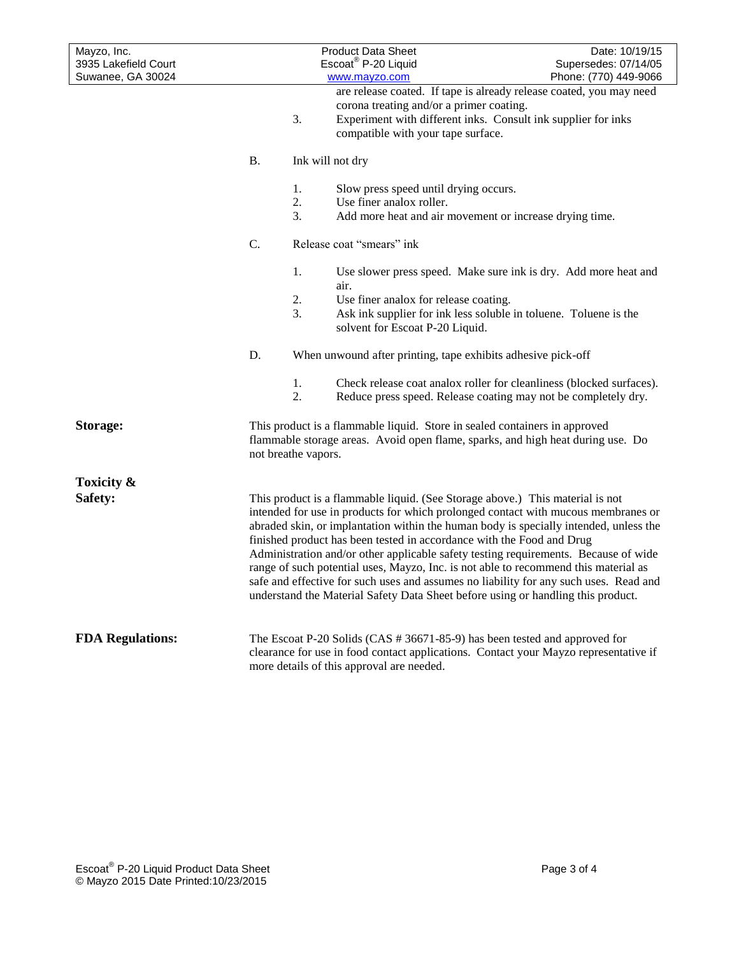| Mayzo, Inc.             |                                                                                                                                                                                                                                                                                                                                              | <b>Product Data Sheet</b>                                                                              | Date: 10/19/15                                                       |  |  |
|-------------------------|----------------------------------------------------------------------------------------------------------------------------------------------------------------------------------------------------------------------------------------------------------------------------------------------------------------------------------------------|--------------------------------------------------------------------------------------------------------|----------------------------------------------------------------------|--|--|
| 3935 Lakefield Court    | Escoat <sup>®</sup> P-20 Liquid                                                                                                                                                                                                                                                                                                              |                                                                                                        | Supersedes: 07/14/05                                                 |  |  |
| Suwanee, GA 30024       |                                                                                                                                                                                                                                                                                                                                              | www.mayzo.com                                                                                          | Phone: (770) 449-9066                                                |  |  |
|                         |                                                                                                                                                                                                                                                                                                                                              |                                                                                                        | are release coated. If tape is already release coated, you may need  |  |  |
|                         |                                                                                                                                                                                                                                                                                                                                              | corona treating and/or a primer coating.                                                               |                                                                      |  |  |
|                         | 3.                                                                                                                                                                                                                                                                                                                                           | Experiment with different inks. Consult ink supplier for inks                                          |                                                                      |  |  |
|                         |                                                                                                                                                                                                                                                                                                                                              | compatible with your tape surface.                                                                     |                                                                      |  |  |
|                         | Β.                                                                                                                                                                                                                                                                                                                                           | Ink will not dry                                                                                       |                                                                      |  |  |
|                         | 1.                                                                                                                                                                                                                                                                                                                                           | Slow press speed until drying occurs.                                                                  |                                                                      |  |  |
|                         | 2.                                                                                                                                                                                                                                                                                                                                           | Use finer analox roller.                                                                               |                                                                      |  |  |
|                         | 3.                                                                                                                                                                                                                                                                                                                                           | Add more heat and air movement or increase drying time.                                                |                                                                      |  |  |
|                         |                                                                                                                                                                                                                                                                                                                                              |                                                                                                        |                                                                      |  |  |
|                         | $C$ .                                                                                                                                                                                                                                                                                                                                        | Release coat "smears" ink                                                                              |                                                                      |  |  |
|                         | 1.                                                                                                                                                                                                                                                                                                                                           |                                                                                                        | Use slower press speed. Make sure ink is dry. Add more heat and      |  |  |
|                         | 2.                                                                                                                                                                                                                                                                                                                                           | air.<br>Use finer analox for release coating.                                                          |                                                                      |  |  |
|                         | 3.                                                                                                                                                                                                                                                                                                                                           |                                                                                                        | Ask ink supplier for ink less soluble in toluene. Toluene is the     |  |  |
|                         |                                                                                                                                                                                                                                                                                                                                              | solvent for Escoat P-20 Liquid.                                                                        |                                                                      |  |  |
|                         |                                                                                                                                                                                                                                                                                                                                              |                                                                                                        |                                                                      |  |  |
|                         | D.                                                                                                                                                                                                                                                                                                                                           | When unwound after printing, tape exhibits adhesive pick-off                                           |                                                                      |  |  |
|                         | 1.                                                                                                                                                                                                                                                                                                                                           |                                                                                                        | Check release coat analox roller for cleanliness (blocked surfaces). |  |  |
|                         | 2.                                                                                                                                                                                                                                                                                                                                           |                                                                                                        | Reduce press speed. Release coating may not be completely dry.       |  |  |
| Storage:                | This product is a flammable liquid. Store in sealed containers in approved                                                                                                                                                                                                                                                                   |                                                                                                        |                                                                      |  |  |
|                         |                                                                                                                                                                                                                                                                                                                                              | flammable storage areas. Avoid open flame, sparks, and high heat during use. Do<br>not breathe vapors. |                                                                      |  |  |
|                         |                                                                                                                                                                                                                                                                                                                                              |                                                                                                        |                                                                      |  |  |
| Toxicity &              |                                                                                                                                                                                                                                                                                                                                              |                                                                                                        |                                                                      |  |  |
| Safety:                 | This product is a flammable liquid. (See Storage above.) This material is not<br>intended for use in products for which prolonged contact with mucous membranes or                                                                                                                                                                           |                                                                                                        |                                                                      |  |  |
|                         |                                                                                                                                                                                                                                                                                                                                              |                                                                                                        |                                                                      |  |  |
|                         | abraded skin, or implantation within the human body is specially intended, unless the<br>finished product has been tested in accordance with the Food and Drug<br>Administration and/or other applicable safety testing requirements. Because of wide<br>range of such potential uses, Mayzo, Inc. is not able to recommend this material as |                                                                                                        |                                                                      |  |  |
|                         |                                                                                                                                                                                                                                                                                                                                              |                                                                                                        |                                                                      |  |  |
|                         |                                                                                                                                                                                                                                                                                                                                              |                                                                                                        |                                                                      |  |  |
|                         |                                                                                                                                                                                                                                                                                                                                              |                                                                                                        |                                                                      |  |  |
|                         | safe and effective for such uses and assumes no liability for any such uses. Read and                                                                                                                                                                                                                                                        |                                                                                                        |                                                                      |  |  |
|                         |                                                                                                                                                                                                                                                                                                                                              | understand the Material Safety Data Sheet before using or handling this product.                       |                                                                      |  |  |
|                         |                                                                                                                                                                                                                                                                                                                                              |                                                                                                        |                                                                      |  |  |
| <b>FDA Regulations:</b> | The Escoat P-20 Solids (CAS # 36671-85-9) has been tested and approved for<br>clearance for use in food contact applications. Contact your Mayzo representative if                                                                                                                                                                           |                                                                                                        |                                                                      |  |  |
|                         |                                                                                                                                                                                                                                                                                                                                              |                                                                                                        |                                                                      |  |  |
|                         |                                                                                                                                                                                                                                                                                                                                              | more details of this approval are needed.                                                              |                                                                      |  |  |